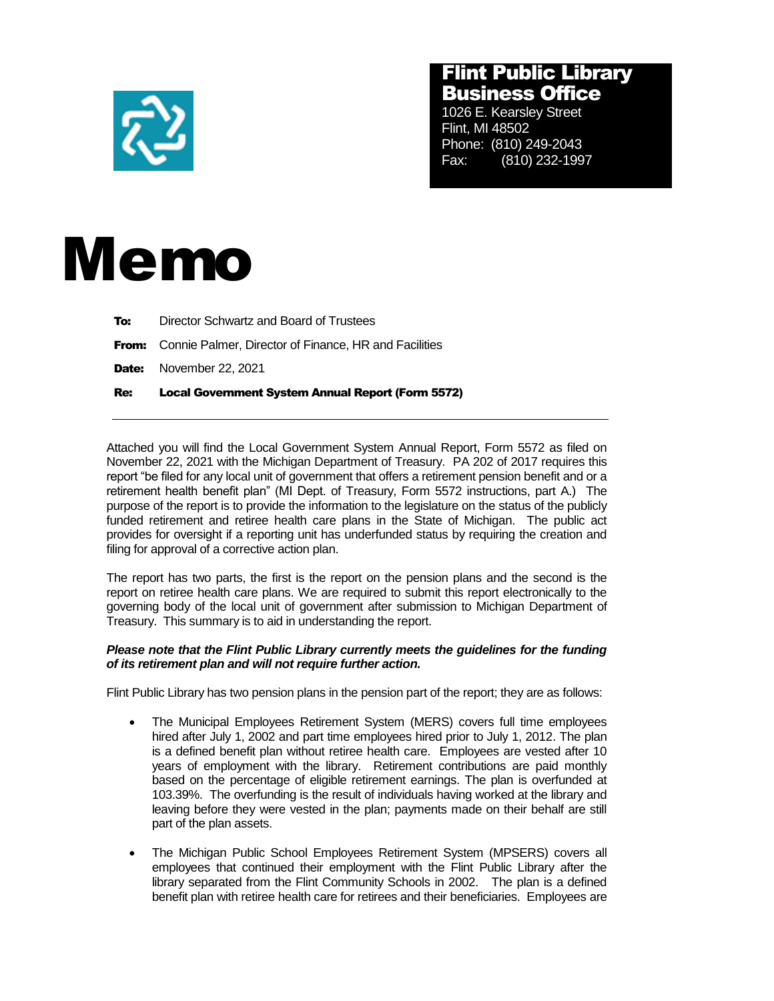

## Flint Public Library Business Office

1026 E. Kearsley Street Flint, MI 48502 Phone: (810) 249-2043 Fax: (810) 232-1997



| Re: | <b>Local Government System Annual Report (Form 5572)</b>           |
|-----|--------------------------------------------------------------------|
|     | <b>Date:</b> November 22, 2021                                     |
|     | <b>From:</b> Connie Palmer, Director of Finance, HR and Facilities |
| To: | Director Schwartz and Board of Trustees                            |

Attached you will find the Local Government System Annual Report, Form 5572 as filed on November 22, 2021 with the Michigan Department of Treasury. PA 202 of 2017 requires this report "be filed for any local unit of government that offers a retirement pension benefit and or a retirement health benefit plan" (MI Dept. of Treasury, Form 5572 instructions, part A.) The purpose of the report is to provide the information to the legislature on the status of the publicly funded retirement and retiree health care plans in the State of Michigan. The public act provides for oversight if a reporting unit has underfunded status by requiring the creation and filing for approval of a corrective action plan.

The report has two parts, the first is the report on the pension plans and the second is the report on retiree health care plans. We are required to submit this report electronically to the governing body of the local unit of government after submission to Michigan Department of Treasury. This summary is to aid in understanding the report.

## *Please note that the Flint Public Library currently meets the guidelines for the funding of its retirement plan and will not require further action.*

Flint Public Library has two pension plans in the pension part of the report; they are as follows:

- The Municipal Employees Retirement System (MERS) covers full time employees hired after July 1, 2002 and part time employees hired prior to July 1, 2012. The plan is a defined benefit plan without retiree health care. Employees are vested after 10 years of employment with the library. Retirement contributions are paid monthly based on the percentage of eligible retirement earnings. The plan is overfunded at 103.39%. The overfunding is the result of individuals having worked at the library and leaving before they were vested in the plan; payments made on their behalf are still part of the plan assets.
- The Michigan Public School Employees Retirement System (MPSERS) covers all employees that continued their employment with the Flint Public Library after the library separated from the Flint Community Schools in 2002. The plan is a defined benefit plan with retiree health care for retirees and their beneficiaries. Employees are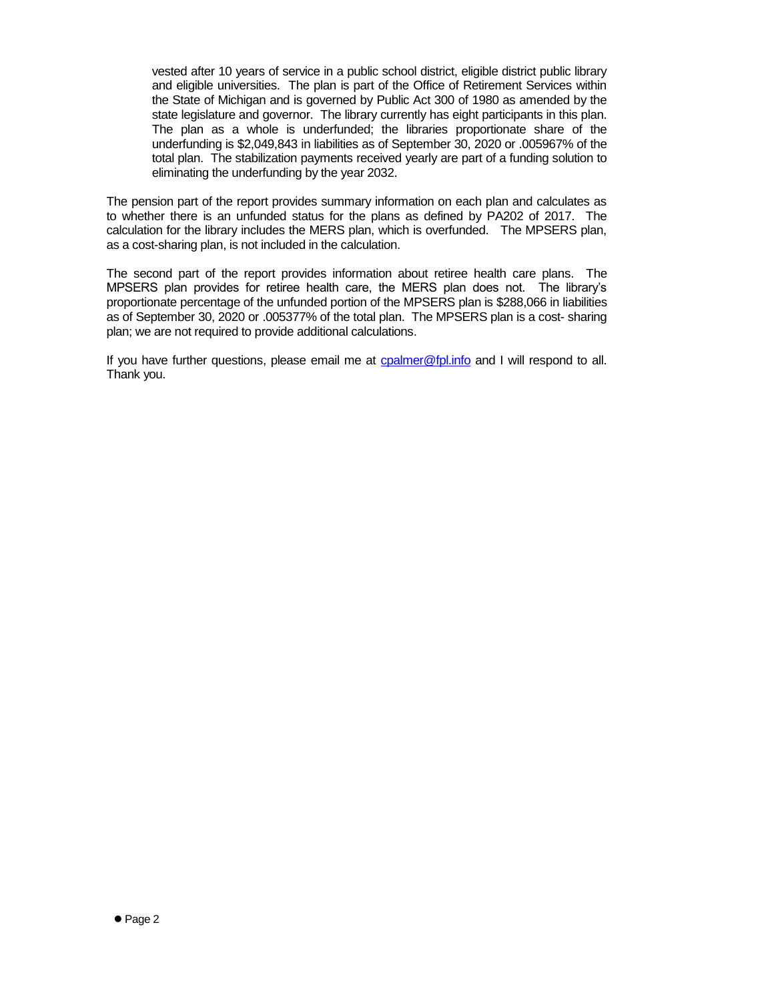vested after 10 years of service in a public school district, eligible district public library and eligible universities. The plan is part of the Office of Retirement Services within the State of Michigan and is governed by Public Act 300 of 1980 as amended by the state legislature and governor. The library currently has eight participants in this plan. The plan as a whole is underfunded; the libraries proportionate share of the underfunding is \$2,049,843 in liabilities as of September 30, 2020 or .005967% of the total plan. The stabilization payments received yearly are part of a funding solution to eliminating the underfunding by the year 2032.

The pension part of the report provides summary information on each plan and calculates as to whether there is an unfunded status for the plans as defined by PA202 of 2017. The calculation for the library includes the MERS plan, which is overfunded. The MPSERS plan, as a cost-sharing plan, is not included in the calculation.

The second part of the report provides information about retiree health care plans. The MPSERS plan provides for retiree health care, the MERS plan does not. The library's proportionate percentage of the unfunded portion of the MPSERS plan is \$288,066 in liabilities as of September 30, 2020 or .005377% of the total plan. The MPSERS plan is a cost- sharing plan; we are not required to provide additional calculations.

If you have further questions, please email me at [cpalmer@fpl.info](mailto:cpalmer@fpl.info) and I will respond to all. Thank you.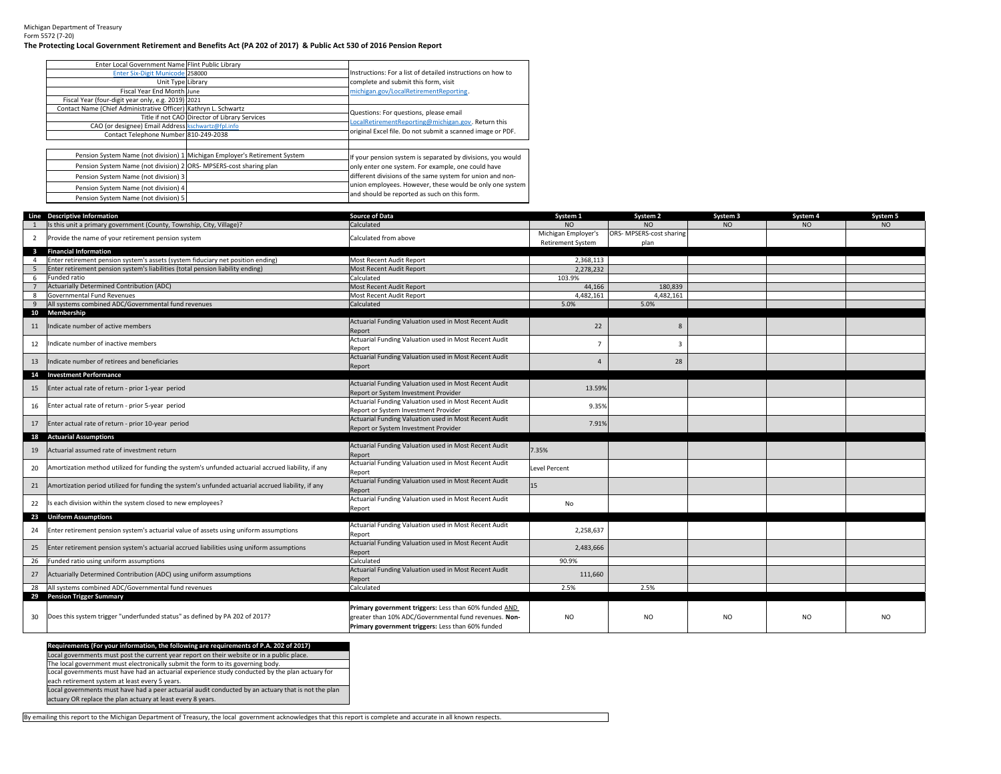Michigan Department of TreasuryForm 5572 (7-20)

## **The Protecting Local Government Retirement and Benefits Act (PA 202 of 2017) & Public Act 530 of 2016 Pension Report**

| Enter Local Government Name Flint Public Library                   |                                                                            |                                                             |
|--------------------------------------------------------------------|----------------------------------------------------------------------------|-------------------------------------------------------------|
| Enter Six-Digit Municode 258000                                    |                                                                            | Instructions: For a list of detailed instructions on how to |
| Unit Type Library                                                  |                                                                            | complete and submit this form, visit                        |
| Fiscal Year End Month June                                         |                                                                            | michigan.gov/LocalRetirementReporting.                      |
| Fiscal Year (four-digit year only, e.g. 2019) 2021                 |                                                                            |                                                             |
| Contact Name (Chief Administrative Officer) Kathryn L. Schwartz    |                                                                            | Questions: For questions, please email                      |
|                                                                    | Title if not CAO Director of Library Services                              | LocalRetirementReporting@michigan.gov. Return this          |
| CAO (or designee) Email Address kschwartz@fpl.info                 |                                                                            |                                                             |
| Contact Telephone Number 810-249-2038                              |                                                                            | original Excel file. Do not submit a scanned image or PDF.  |
|                                                                    |                                                                            |                                                             |
|                                                                    | Pension System Name (not division) 1 Michigan Employer's Retirement System | If your pension system is separated by divisions, you would |
| Pension System Name (not division) 2 ORS- MPSERS-cost sharing plan |                                                                            | only enter one system. For example, one could have          |
| Pension System Name (not division) 3                               |                                                                            | different divisions of the same system for union and non-   |
| Pension System Name (not division) 4                               |                                                                            | union employees. However, these would be only one system    |
| Pension System Name (not division) 5                               |                                                                            | and should be reported as such on this form.                |

|                         | Line Descriptive Information                                                                       | <b>Source of Data</b>                                                                         | System 1                 | System 2                 | System 3       | System 4 | System 5        |
|-------------------------|----------------------------------------------------------------------------------------------------|-----------------------------------------------------------------------------------------------|--------------------------|--------------------------|----------------|----------|-----------------|
|                         | Is this unit a primary government (County, Township, City, Village)?                               | Calculated                                                                                    | NO.                      | NO.                      | NO             | NO       | NO <sub>1</sub> |
| $\overline{2}$          | Provide the name of your retirement pension system                                                 | Calculated from above                                                                         | Michigan Employer's      | ORS- MPSERS-cost sharing |                |          |                 |
|                         |                                                                                                    |                                                                                               | <b>Retirement System</b> | plan                     |                |          |                 |
| $\overline{\mathbf{3}}$ | <b>Financial Information</b>                                                                       |                                                                                               |                          |                          |                |          |                 |
| 4                       | Enter retirement pension system's assets (system fiduciary net position ending)                    | Most Recent Audit Report                                                                      | 2,368,113                |                          |                |          |                 |
| 5                       | Enter retirement pension system's liabilities (total pension liability ending)                     | Most Recent Audit Report                                                                      | 2,278,232                |                          |                |          |                 |
| 6                       | Funded ratio                                                                                       | Calculated                                                                                    | 103.9%                   |                          |                |          |                 |
|                         | Actuarially Determined Contribution (ADC)                                                          | Most Recent Audit Report                                                                      | 44,166                   | 180.839                  |                |          |                 |
| 8                       | Governmental Fund Revenues                                                                         | Most Recent Audit Report                                                                      | 4,482,161                | 4.482.161                |                |          |                 |
| $\mathbf{q}$            | All systems combined ADC/Governmental fund revenues                                                | Calculated                                                                                    | 5.0%                     | 5.0%                     |                |          |                 |
|                         | 10 Membership                                                                                      |                                                                                               |                          |                          |                |          |                 |
| 11                      | Indicate number of active members                                                                  | Actuarial Funding Valuation used in Most Recent Audit                                         | 22                       | 8                        |                |          |                 |
|                         |                                                                                                    | Report                                                                                        |                          |                          |                |          |                 |
| 12                      | Indicate number of inactive members                                                                | Actuarial Funding Valuation used in Most Recent Audit                                         | $\overline{7}$           | $\overline{3}$           |                |          |                 |
|                         |                                                                                                    | Report                                                                                        |                          |                          |                |          |                 |
| 13                      | ndicate number of retirees and beneficiaries                                                       | Actuarial Funding Valuation used in Most Recent Audit                                         | $\overline{4}$           | 28                       |                |          |                 |
|                         |                                                                                                    | Report                                                                                        |                          |                          |                |          |                 |
| 14                      | <b>Investment Performance</b>                                                                      | Actuarial Funding Valuation used in Most Recent Audit                                         |                          |                          |                |          |                 |
| 15                      | Enter actual rate of return - prior 1-year period                                                  |                                                                                               | 13.59%                   |                          |                |          |                 |
|                         |                                                                                                    | Report or System Investment Provider<br>Actuarial Funding Valuation used in Most Recent Audit |                          |                          |                |          |                 |
| 16                      | Enter actual rate of return - prior 5-year period                                                  | Report or System Investment Provider                                                          | 9.35%                    |                          |                |          |                 |
|                         |                                                                                                    | Actuarial Funding Valuation used in Most Recent Audit                                         |                          |                          |                |          |                 |
| 17                      | Enter actual rate of return - prior 10-year period                                                 | Report or System Investment Provider                                                          | 7.91%                    |                          |                |          |                 |
| 18                      | <b>Actuarial Assumptions</b>                                                                       |                                                                                               |                          |                          |                |          |                 |
|                         |                                                                                                    | Actuarial Funding Valuation used in Most Recent Audit                                         |                          |                          |                |          |                 |
| 19                      | Actuarial assumed rate of investment return                                                        | Report                                                                                        | 7.35%                    |                          |                |          |                 |
|                         |                                                                                                    | Actuarial Funding Valuation used in Most Recent Audit                                         |                          |                          |                |          |                 |
| 20                      | Amortization method utilized for funding the system's unfunded actuarial accrued liability, if any | Report                                                                                        | Level Percent            |                          |                |          |                 |
|                         |                                                                                                    | Actuarial Funding Valuation used in Most Recent Audit                                         |                          |                          |                |          |                 |
| 21                      | Amortization period utilized for funding the system's unfunded actuarial accrued liability, if any | Report                                                                                        | 15                       |                          |                |          |                 |
| 22                      | s each division within the system closed to new employees?                                         | Actuarial Funding Valuation used in Most Recent Audit                                         | No                       |                          |                |          |                 |
|                         |                                                                                                    | Report                                                                                        |                          |                          |                |          |                 |
|                         | 23 Uniform Assumptions                                                                             |                                                                                               |                          |                          |                |          |                 |
| 24                      | Enter retirement pension system's actuarial value of assets using uniform assumptions              | Actuarial Funding Valuation used in Most Recent Audit                                         | 2,258,637                |                          |                |          |                 |
|                         |                                                                                                    | Report                                                                                        |                          |                          |                |          |                 |
| 25                      | Enter retirement pension system's actuarial accrued liabilities using uniform assumptions          | Actuarial Funding Valuation used in Most Recent Audit                                         | 2,483,666                |                          |                |          |                 |
|                         |                                                                                                    | Report                                                                                        |                          |                          |                |          |                 |
| 26                      | Funded ratio using uniform assumptions                                                             | Calculated                                                                                    | 90.9%                    |                          |                |          |                 |
| 27                      | Actuarially Determined Contribution (ADC) using uniform assumptions                                | Actuarial Funding Valuation used in Most Recent Audit                                         | 111,660                  |                          |                |          |                 |
|                         |                                                                                                    | Report                                                                                        |                          |                          |                |          |                 |
| 28                      | All systems combined ADC/Governmental fund revenues<br>29 Pension Trigger Summary                  | Calculated                                                                                    | 2.5%                     | 2.5%                     |                |          |                 |
|                         |                                                                                                    |                                                                                               |                          |                          |                |          |                 |
|                         |                                                                                                    | Primary government triggers: Less than 60% funded AND                                         |                          |                          |                |          |                 |
| 30                      | Does this system trigger "underfunded status" as defined by PA 202 of 2017?                        | greater than 10% ADC/Governmental fund revenues. Non-                                         | N <sub>O</sub>           | N <sub>O</sub>           | N <sub>O</sub> | NO.      | NO.             |
|                         |                                                                                                    | Primary government triggers: Less than 60% funded                                             |                          |                          |                |          |                 |

**Requirements (For your information, the following are requirements of P.A. 202 of 2017)** Local governments must post the current year report on their website or in a public place.Local governments must have had an actuarial experience study conducted by the plan actuary for The local government must electronically submit the form to its governing body.

each retirement system at least every 5 years.

 Local governments must have had a peer actuarial audit conducted by an actuary that is not the plan actuary OR replace the plan actuary at least every 8 years.

By emailing this report to the Michigan Department of Treasury, the local government acknowledges that this report is complete and accurate in all known respects.